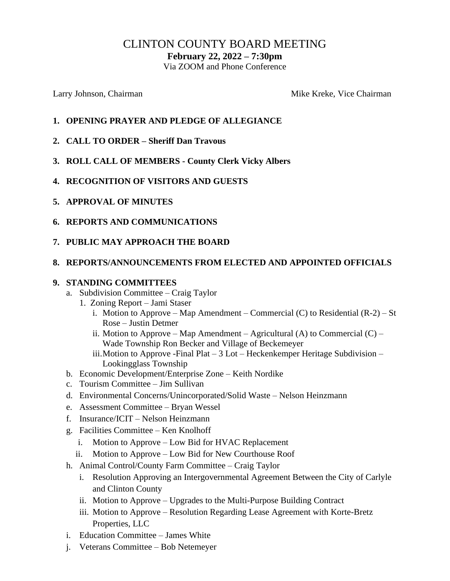# CLINTON COUNTY BOARD MEETING

**February 22, 2022 – 7:30pm**

Via ZOOM and Phone Conference

Larry Johnson, Chairman Mike Kreke, Vice Chairman Mike Kreke, Vice Chairman

- **1. OPENING PRAYER AND PLEDGE OF ALLEGIANCE**
- **2. CALL TO ORDER – Sheriff Dan Travous**
- **3. ROLL CALL OF MEMBERS - County Clerk Vicky Albers**
- **4. RECOGNITION OF VISITORS AND GUESTS**
- **5. APPROVAL OF MINUTES**
- **6. REPORTS AND COMMUNICATIONS**
- **7. PUBLIC MAY APPROACH THE BOARD**

## **8. REPORTS/ANNOUNCEMENTS FROM ELECTED AND APPOINTED OFFICIALS**

#### **9. STANDING COMMITTEES**

- a. Subdivision Committee Craig Taylor
	- 1. Zoning Report Jami Staser
		- i. Motion to Approve Map Amendment Commercial  $(C)$  to Residential  $(R-2)$  St Rose – Justin Detmer
		- ii. Motion to Approve Map Amendment Agricultural (A) to Commercial  $(C)$  Wade Township Ron Becker and Village of Beckemeyer
		- iii.Motion to Approve -Final Plat 3 Lot Heckenkemper Heritage Subdivision Lookingglass Township
- b. Economic Development/Enterprise Zone Keith Nordike
- c. Tourism Committee Jim Sullivan
- d. Environmental Concerns/Unincorporated/Solid Waste Nelson Heinzmann
- e. Assessment Committee Bryan Wessel
- f. Insurance/ICIT Nelson Heinzmann
- g. Facilities Committee Ken Knolhoff
	- i. Motion to Approve Low Bid for HVAC Replacement
	- ii. Motion to Approve Low Bid for New Courthouse Roof
- h. Animal Control/County Farm Committee Craig Taylor
	- i. Resolution Approving an Intergovernmental Agreement Between the City of Carlyle and Clinton County
	- ii. Motion to Approve Upgrades to the Multi-Purpose Building Contract
	- iii. Motion to Approve Resolution Regarding Lease Agreement with Korte-Bretz Properties, LLC
- i. Education Committee James White
- j. Veterans Committee Bob Netemeyer